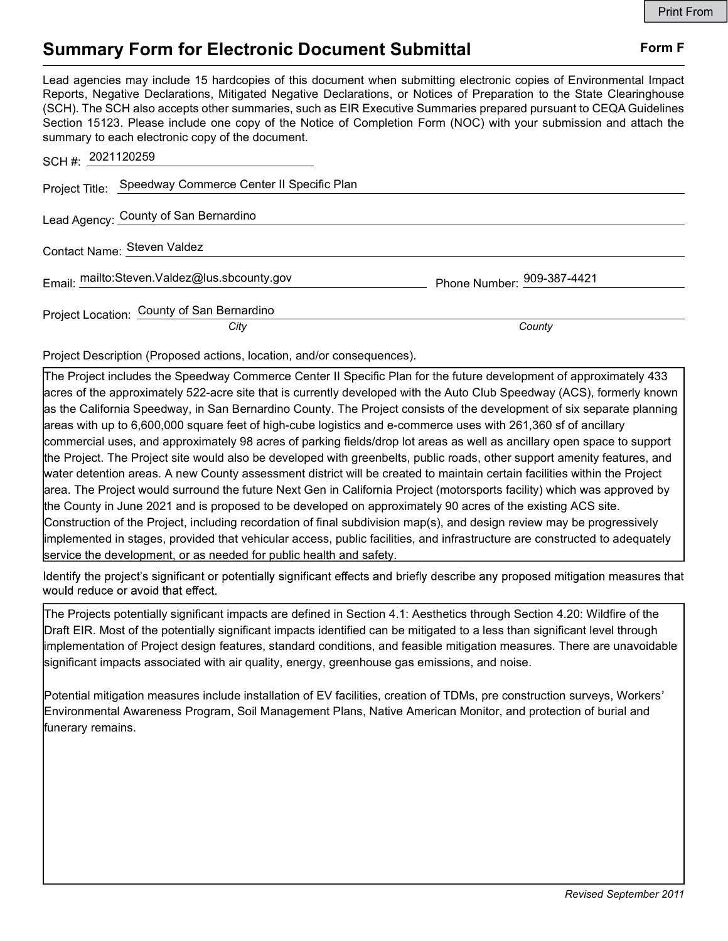## Summary Form for Electronic Document Submittal Form F

Lead agencies may include 15 hardcopies of this document when submitting electronic copies of Environmental Impact Reports, Negative Declarations, Mitigated Negative Declarations, or Notices of Preparation to the State Clearinghouse (SCH). The SCH also accepts other summaries, such as EIR Executive Summaries prepared pursuant to CEQA Guidelines Section 15123. Please include one copy of the Notice of Completion Form (NOC) with your submission and attach the summary to each electronic copy of the document.

| SCH#: 2021120259                                         |                            |
|----------------------------------------------------------|----------------------------|
| Project Title: Speedway Commerce Center II Specific Plan |                            |
| Lead Agency: County of San Bernardino                    |                            |
| Contact Name: Steven Valdez                              |                            |
| Email: mailto:Steven.Valdez@lus.sbcounty.gov             | Phone Number: 909-387-4421 |
| Project Location: County of San Bernardino               |                            |
| City                                                     | County                     |

Project Description (Proposed actions, location, and/or consequences).

The Project includes the Speedway Commerce Center II Specific Plan for the future development of approximately 433 acres of the approximately 522-acre site that is currently developed with the Auto Club Speedway (ACS), formerly known as the California Speedway, in San Bernardino County. The Project consists of the development of six separate planning areas with up to 6,600,000 square feet of high-cube logistics and e-commerce uses with 261,360 sf of ancillary commercial uses, and approximately 98 acres of parking fields/drop lot areas as well as ancillary open space to support the Project. The Project site would also be developed with greenbelts, public roads, other support amenity features, and water detention areas. A new County assessment district will be created to maintain certain facilities within the Project area. The Project would surround the future Next Gen in California Project (motorsports facility) which was approved by the County in June 2021 and is proposed to be developed on approximately 90 acres of the existing ACS site. Construction of the Project, including recordation of final subdivision map(s), and design review may be progressively implemented in stages, provided that vehicular access, public facilities, and infrastructure are constructed to adequately service the development, or as needed for public health and safety.

Identify the project's significant or potentially significant effects and briefly describe any proposed mitigation measures that would reduce or avoid that effect.

The Projects potentially significant impacts are defined in Section 4.1: Aesthetics through Section 4.20: Wildfire of the Draft EIR. Most of the potentially significant impacts identified can be mitigated to a less than significant level through implementation of Project design features, standard conditions, and feasible mitigation measures. There are unavoidable significant impacts associated with air quality, energy, greenhouse gas emissions, and noise.

Potential mitigation measures include installation of EV facilities, creation of TDMs, pre construction surveys, Workers Environmental Awareness Program, Soil Management Plans, Native American Monitor, and protection of burial and funerary remains.